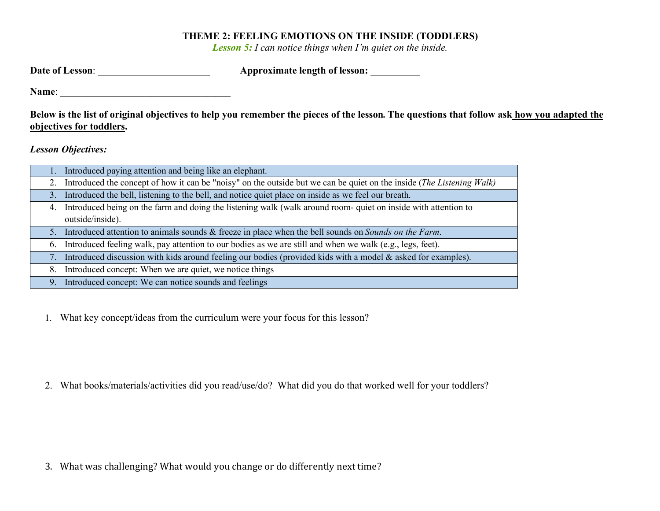## THEME 2: FEELING EMOTIONS ON THE INSIDE (TODDLERS)

Lesson 5: I can notice things when I'm quiet on the inside.

|       | <b>Approximate length of lesson:</b><br><b>Date of Lesson:</b>                                                                                                        |
|-------|-----------------------------------------------------------------------------------------------------------------------------------------------------------------------|
| Name: |                                                                                                                                                                       |
|       | Below is the list of original objectives to help you remember the pieces of the lesson. The questions that follow ask how you adapted the<br>objectives for toddlers. |
|       | <b>Lesson Objectives:</b>                                                                                                                                             |
|       | Introduced paying attention and being like an elephant.                                                                                                               |
|       | Introduced the concept of how it can be "noisy" on the outside but we can be quiet on the inside (The Listening Walk)                                                 |
| 3.    | Introduced the bell, listening to the bell, and notice quiet place on inside as we feel our breath.                                                                   |
| 4.    | Introduced being on the farm and doing the listening walk (walk around room-quiet on inside with attention to                                                         |
|       | outside/inside).                                                                                                                                                      |

5. Introduced attention to animals sounds & freeze in place when the bell sounds on Sounds on the Farm.

6. Introduced feeling walk, pay attention to our bodies as we are still and when we walk (e.g., legs, feet).

7. Introduced discussion with kids around feeling our bodies (provided kids with a model & asked for examples).

8. Introduced concept: When we are quiet, we notice things

9. Introduced concept: We can notice sounds and feelings

1. What key concept/ideas from the curriculum were your focus for this lesson?

2. What books/materials/activities did you read/use/do? What did you do that worked well for your toddlers?

3. What was challenging? What would you change or do differently next time?